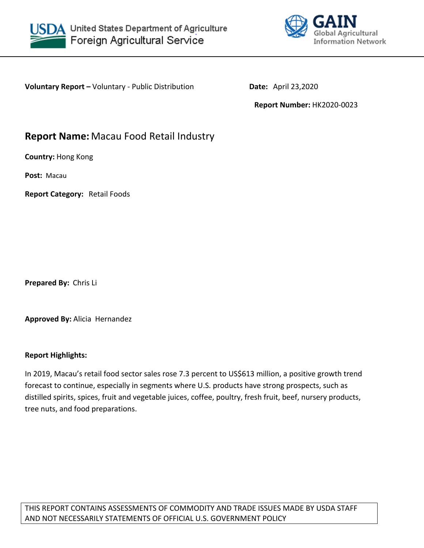



**Voluntary Report –** Voluntary - Public Distribution **Date:** April 23,2020

**Report Number:** HK2020-0023

# **Report Name:** Macau Food Retail Industry

**Country:** Hong Kong

**Post:** Macau

**Report Category:** Retail Foods

**Prepared By:** Chris Li

**Approved By:** Alicia Hernandez

## **Report Highlights:**

In 2019, Macau's retail food sector sales rose 7.3 percent to US\$613 million, a positive growth trend forecast to continue, especially in segments where U.S. products have strong prospects, such as distilled spirits, spices, fruit and vegetable juices, coffee, poultry, fresh fruit, beef, nursery products, tree nuts, and food preparations.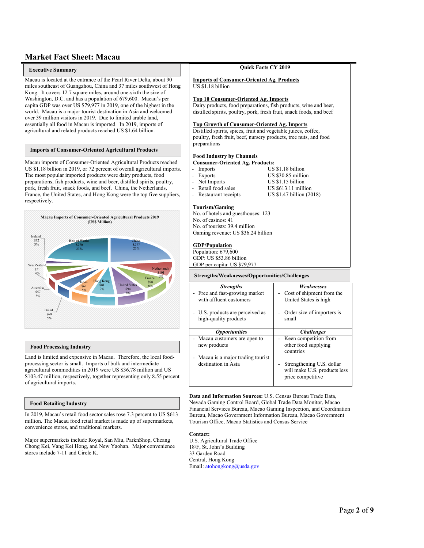## **Market Fact Sheet: Macau**

#### $\blacksquare$  Executive Summary **Executive Summary**

Macau is located at the entrance of the Pearl River Delta, about 90 miles southeast of Guangzhou, China and 37 miles southwest of Hong Kong. It covers 12.7 square miles, around one-sixth the size of Washington, D.C. and has a population of 679,600. Macau's per capita GDP was over US \$79,977 in 2019, one of the highest in the world. Macau is a major tourist destination in Asia and welcomed over 39 million visitors in 2019. Due to limited arable land, essentially all food in Macau is imported. In 2019, imports of agricultural and related products reached US \$1.64 billion.

#### **Imports of Consumer-Oriented Agricultural Products**

Macau imports of Consumer-Oriented Agricultural Products reached **Summary** US \$1.18 billion in 2019, or 72 percent of overall agricultural imports. The most popular imported products were dairy products, food preparations, fish products, wine and beer, distilled spirits, poultry, pork, fresh fruit, snack foods, and beef. China, the Netherlands, France, the United States, and Hong Kong were the top five suppliers, respectively.



#### **Food Processing Industry**

Land is limited and expensive in Macau. Therefore, the local foodprocessing sector is small. Imports of bulk and intermediate agricultural commodities in 2019 were US \$36.78 million and US \$103.47 million, respectively, together representing only 8.55 percent of agricultural imports.

#### **Food Retailing Industry**

In 2019, Macau's retail food sector sales rose 7.3 percent to US \$613 million. The Macau food retail market is made up of supermarkets, convenience stores, and traditional markets.

Major supermarkets include Royal, San Miu, ParknShop, Cheang Chong Kei, Vang Kei Hong, and New Yaohan. Major convenience stores include 7-11 and Circle K.

#### **Quick Facts CY 2019 Imports of Consumer-Oriented Ag. Products** US \$1.18 billion **Top 10 Consumer-Oriented Ag. Imports** Dairy products, food preparations, fish products, wine and beer, distilled spirits, poultry, pork, fresh fruit, snack foods, and beef **Top Growth of Consumer-Oriented Ag. Imports** Distilled spirits, spices, fruit and vegetable juices, coffee, poultry, fresh fruit, beef, nursery products, tree nuts, and food preparations **Food Industry by Channels Consumer-Oriented Ag. Products:** Imports US \$1.18 billion Exports US \$30.85 million<br>Net Imports US \$1.15 billion - Net Imports US \$1.15 billion - Retail food sales US \$613.11 million<br>- Restaurant receipts US \$1.47 billion (20 US \$1.47 billion (2018) **Tourism/Gaming** No. of hotels and guesthouses: 123 No. of casinos: 41 No. of tourists: 39.4 million Gaming revenue: US \$36.24 billion **GDP/Population** Population: 679,600 GDP: US \$53.86 billion GDP per capita: US \$79,977 *Strengths Weaknesses* Free and fast-growing market with affluent customers U.S. products are perceived as high-quality products Cost of shipment from the United States is high Order size of importers is small *Opportunities Challenges* Macau customers are open to new products Macau is a major trading tourist destination in Asia Keen competition from other food supplying countries Strengthening U.S. dollar will make U.S. products less price competitive **Strengths/Weaknesses/Opportunities/Challenges**

**Data and Information Sources:** U.S. Census Bureau Trade Data, Nevada Gaming Control Board, Global Trade Data Monitor, Macao Financial Services Bureau, Macao Gaming Inspection, and Coordination Bureau, Macao Government Information Bureau, Macao Government Tourism Office, Macao Statistics and Census Service

#### **Contact:**

U.S. Agricultural Trade Office 18/F, St. John's Building 33 Garden Road Central, Hong Kong Email: [atohongkong@usda.gov](mailto:atohongkong@usda.gov)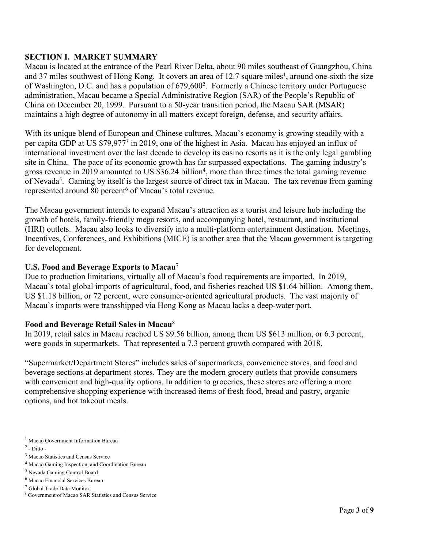## **SECTION I. MARKET SUMMARY**

Macau is located at the entrance of the Pearl River Delta, about 90 miles southeast of Guangzhou, China and 37 miles southwest of Hong Kong. It covers an area of 12.7 square miles<sup>1</sup>, around one-sixth the size of Washington, D.C. and has a population of 679,600<sup>2</sup>. Formerly a Chinese territory under Portuguese administration, Macau became a Special Administrative Region (SAR) of the People's Republic of China on December 20, 1999. Pursuant to a 50-year transition period, the Macau SAR (MSAR) maintains a high degree of autonomy in all matters except foreign, defense, and security affairs.

With its unique blend of European and Chinese cultures, Macau's economy is growing steadily with a per capita GDP at US \$79,977<sup>3</sup> in 2019, one of the highest in Asia. Macau has enjoyed an influx of international investment over the last decade to develop its casino resorts as it is the only legal gambling site in China. The pace of its economic growth has far surpassed expectations. The gaming industry's gross revenue in 2019 amounted to US \$36.24 billion<sup>4</sup>, more than three times the total gaming revenue of Nevada<sup>5</sup>. Gaming by itself is the largest source of direct tax in Macau. The tax revenue from gaming represented around 80 percent<sup>6</sup> of Macau's total revenue.

The Macau government intends to expand Macau's attraction as a tourist and leisure hub including the growth of hotels, family-friendly mega resorts, and accompanying hotel, restaurant, and institutional (HRI) outlets. Macau also looks to diversify into a multi-platform entertainment destination. Meetings, Incentives, Conferences, and Exhibitions (MICE) is another area that the Macau government is targeting for development.

## **U.S. Food and Beverage Exports to Macau**<sup>7</sup>

Due to production limitations, virtually all of Macau's food requirements are imported. In 2019, Macau's total global imports of agricultural, food, and fisheries reached US \$1.64 billion. Among them, US \$1.18 billion, or 72 percent, were consumer-oriented agricultural products. The vast majority of Macau's imports were transshipped via Hong Kong as Macau lacks a deep-water port.

## **Food and Beverage Retail Sales in Macau**<sup>8</sup>

In 2019, retail sales in Macau reached US \$9.56 billion, among them US \$613 million, or 6.3 percent, were goods in supermarkets. That represented a 7.3 percent growth compared with 2018.

"Supermarket/Department Stores" includes sales of supermarkets, convenience stores, and food and beverage sections at department stores. They are the modern grocery outlets that provide consumers with convenient and high-quality options. In addition to groceries, these stores are offering a more comprehensive shopping experience with increased items of fresh food, bread and pastry, organic options, and hot takeout meals.

<sup>&</sup>lt;sup>1</sup> Macao Government Information Bureau

 $<sup>2</sup>$  - Ditto -</sup>

<sup>&</sup>lt;sup>3</sup> Macao Statistics and Census Service

<sup>4</sup> Macao Gaming Inspection, and Coordination Bureau

<sup>5</sup> Nevada Gaming Control Board

<sup>6</sup> Macao Financial Services Bureau

<sup>7</sup> Global Trade Data Monitor

<sup>8</sup> Government of Macao SAR Statistics and Census Service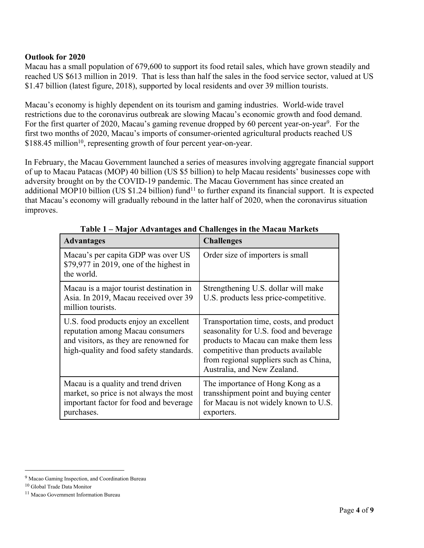## **Outlook for 2020**

Macau has a small population of 679,600 to support its food retail sales, which have grown steadily and reached US \$613 million in 2019. That is less than half the sales in the food service sector, valued at US \$1.47 billion (latest figure, 2018), supported by local residents and over 39 million tourists.

Macau's economy is highly dependent on its tourism and gaming industries. World-wide travel restrictions due to the coronavirus outbreak are slowing Macau's economic growth and food demand. For the first quarter of 2020, Macau's gaming revenue dropped by 60 percent year-on-year<sup>9</sup>. For the first two months of 2020, Macau's imports of consumer-oriented agricultural products reached US \$188.45 million<sup>10</sup>, representing growth of four percent year-on-year.

In February, the Macau Government launched a series of measures involving aggregate financial support of up to Macau Patacas (MOP) 40 billion (US \$5 billion) to help Macau residents' businesses cope with adversity brought on by the COVID-19 pandemic. The Macau Government has since created an additional MOP10 billion (US  $$1.24$  billion) fund<sup>11</sup> to further expand its financial support. It is expected that Macau's economy will gradually rebound in the latter half of 2020, when the coronavirus situation improves.

| <b>Advantages</b>                                                                                                                                              | <b>Challenges</b>                                                                                                                                                                                                                         |
|----------------------------------------------------------------------------------------------------------------------------------------------------------------|-------------------------------------------------------------------------------------------------------------------------------------------------------------------------------------------------------------------------------------------|
| Macau's per capita GDP was over US<br>$$79,977$ in 2019, one of the highest in<br>the world.                                                                   | Order size of importers is small                                                                                                                                                                                                          |
| Macau is a major tourist destination in<br>Asia. In 2019, Macau received over 39<br>million tourists.                                                          | Strengthening U.S. dollar will make<br>U.S. products less price-competitive.                                                                                                                                                              |
| U.S. food products enjoy an excellent<br>reputation among Macau consumers<br>and visitors, as they are renowned for<br>high-quality and food safety standards. | Transportation time, costs, and product<br>seasonality for U.S. food and beverage<br>products to Macau can make them less<br>competitive than products available<br>from regional suppliers such as China,<br>Australia, and New Zealand. |
| Macau is a quality and trend driven<br>market, so price is not always the most<br>important factor for food and beverage<br>purchases.                         | The importance of Hong Kong as a<br>transshipment point and buying center<br>for Macau is not widely known to U.S.<br>exporters.                                                                                                          |

**Table 1 – Major Advantages and Challenges in the Macau Markets**

<sup>&</sup>lt;sup>9</sup> Macao Gaming Inspection, and Coordination Bureau

<sup>10</sup> Global Trade Data Monitor

<sup>11</sup> Macao Government Information Bureau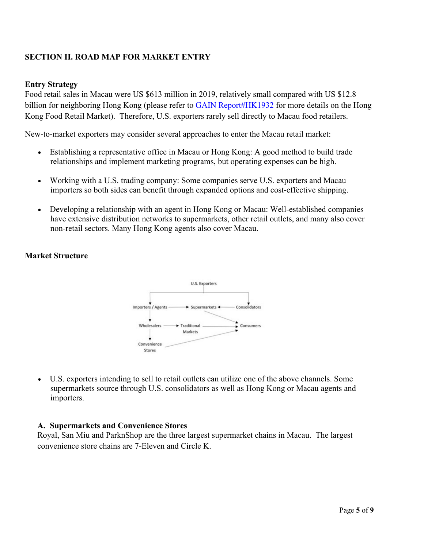## **SECTION II. ROAD MAP FOR MARKET ENTRY**

### **Entry Strategy**

Food retail sales in Macau were US \$613 million in 2019, relatively small compared with US \$12.8 billion for neighboring Hong Kong (please refer to [GAIN Report#HK1932](https://www.usfoods-hongkong.net/redirect.php?url=res/mns/00604/HK1932+-+Hong+Kong+Retail+Sector+Report+2019.pdf) for more details on the Hong Kong Food Retail Market). Therefore, U.S. exporters rarely sell directly to Macau food retailers.

New-to-market exporters may consider several approaches to enter the Macau retail market:

- Establishing a representative office in Macau or Hong Kong: A good method to build trade relationships and implement marketing programs, but operating expenses can be high.
- Working with a U.S. trading company: Some companies serve U.S. exporters and Macau importers so both sides can benefit through expanded options and cost-effective shipping.
- Developing a relationship with an agent in Hong Kong or Macau: Well-established companies have extensive distribution networks to supermarkets, other retail outlets, and many also cover non-retail sectors. Many Hong Kong agents also cover Macau.

## **Market Structure**



 U.S. exporters intending to sell to retail outlets can utilize one of the above channels. Some supermarkets source through U.S. consolidators as well as Hong Kong or Macau agents and importers.

## **A. Supermarkets and Convenience Stores**

Royal, San Miu and ParknShop are the three largest supermarket chains in Macau. The largest convenience store chains are 7-Eleven and Circle K.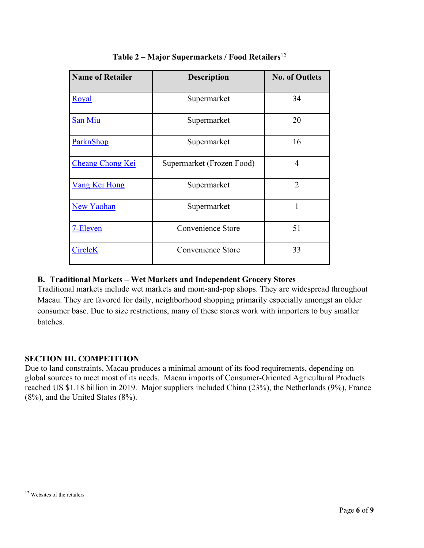| <b>Name of Retailer</b> | <b>Description</b>        | <b>No. of Outlets</b> |
|-------------------------|---------------------------|-----------------------|
| Royal                   | Supermarket               | 34                    |
| San Miu                 | Supermarket               | 20                    |
| ParknShop               | Supermarket               | 16                    |
| <b>Cheang Chong Kei</b> | Supermarket (Frozen Food) | 4                     |
| <b>Vang Kei Hong</b>    | Supermarket               | $\overline{2}$        |
| <b>New Yaohan</b>       | Supermarket               | 1                     |
| 7-Eleven                | Convenience Store         | 51                    |
| <b>CircleK</b>          | <b>Convenience Store</b>  | 33                    |

## **Table 2 – Major Supermarkets / Food Retailers**<sup>12</sup>

## **B. Traditional Markets – Wet Markets and Independent Grocery Stores**

Traditional markets include wet markets and mom-and-pop shops. They are widespread throughout Macau. They are favored for daily, neighborhood shopping primarily especially amongst an older consumer base. Due to size restrictions, many of these stores work with importers to buy smaller batches.

## **SECTION III. COMPETITION**

Due to land constraints, Macau produces a minimal amount of its food requirements, depending on global sources to meet most of its needs. Macau imports of Consumer-Oriented Agricultural Products reached US \$1.18 billion in 2019. Major suppliers included China (23%), the Netherlands (9%), France (8%), and the United States (8%).

<sup>12</sup> Websites of the retailers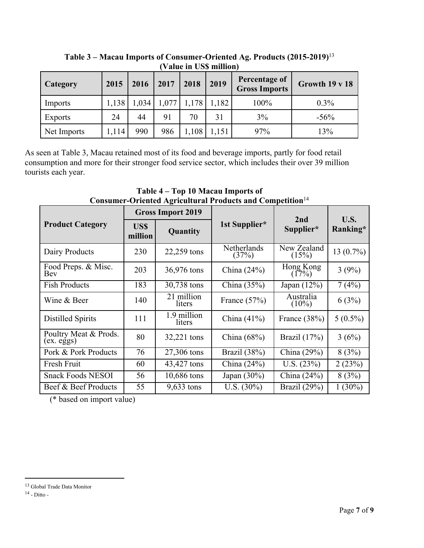| <b>Category</b> | 2015  | 2016  | 2017  | 2018  | 2019  | <b>Percentage of</b><br><b>Gross Imports</b> | Growth 19 v 18 |
|-----------------|-------|-------|-------|-------|-------|----------------------------------------------|----------------|
| Imports         | 1,138 | 1,034 | 1,077 | 1,178 | 1,182 | 100%                                         | $0.3\%$        |
| <b>Exports</b>  | 24    | 44    | 91    | 70    | 31    | 3%                                           | $-56\%$        |
| Net Imports     | 1,114 | 990   | 986   | ,108  | 1,151 | 97%                                          | 13%            |

**Table 3 – Macau Imports of Consumer-Oriented Ag. Products (2015-2019)**<sup>13</sup> **(Value in US\$ million)**

As seen at Table 3, Macau retained most of its food and beverage imports, partly for food retail consumption and more for their stronger food service sector, which includes their over 39 million tourists each year.

| Consumer Oriented Agricultural Froudels and Competition |                 |                          |                      |                       |                |  |
|---------------------------------------------------------|-----------------|--------------------------|----------------------|-----------------------|----------------|--|
|                                                         |                 | <b>Gross Import 2019</b> |                      | 2nd                   | U.S.           |  |
| <b>Product Category</b>                                 | US\$<br>million | Quantity                 | 1st Supplier*        | Supplier*             | Ranking*       |  |
| Dairy Products                                          | 230             | 22,259 tons              | Netherlands<br>(37%) | New Zealand<br>(15%)  | $13(0.7\%)$    |  |
| Food Preps. & Misc.<br>Bev                              | 203             | 36,976 tons              | China $(24%)$        | Hong Kong<br>(17%)    | 3(9%)          |  |
| <b>Fish Products</b>                                    | 183             | 30,738 tons              | China $(35\%)$       | Japan $(12\%)$        | $7(4\sqrt{0})$ |  |
| Wine & Beer                                             | 140             | 21 million<br>liters     | France $(57%)$       | Australia<br>$(10\%)$ | 6(3%)          |  |
| Distilled Spirits                                       | 111             | 1.9 million<br>liters    | China $(41\%)$       | France $(38%)$        | $5(0.5\%)$     |  |
| Poultry Meat & Prods.<br>(ex. e <u>g</u> gs)            | 80              | 32,221 tons              | China $(68\%)$       | Brazil $(17%)$        | 3(6%)          |  |
| Pork & Pork Products                                    | 76              | 27,306 tons              | Brazil (38%)         | China (29%)           | 8(3%)          |  |
| Fresh Fruit                                             | 60              | 43,427 tons              | China $(24%)$        | U.S. $(23%)$          | 2(23%)         |  |
| <b>Snack Foods NESOI</b>                                | 56              | 10,686 tons              | Japan $(30\%)$       | China (24%)           | 8(3%)          |  |
| Beef & Beef Products                                    | 55              | $9,633$ tons             | U.S. $(30\%)$        | Brazil (29%)          | $1(30\%)$      |  |

**Table 4 – Top 10 Macau Imports of Consumer-Oriented Agricultural Products and Competition**<sup>14</sup>

(\* based on import value)

<sup>13</sup> Global Trade Data Monitor

<sup>14</sup> - Ditto -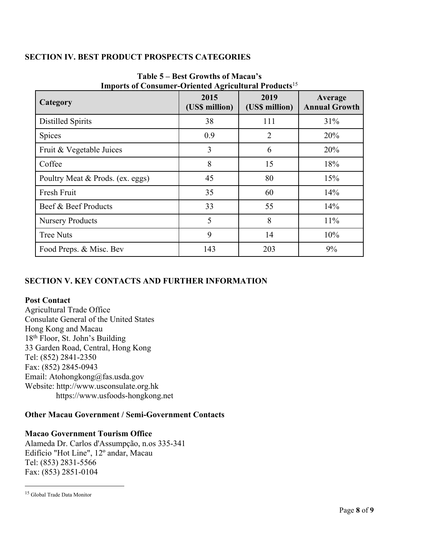## **SECTION IV. BEST PRODUCT PROSPECTS CATEGORIES**

| THE POLICIAL CONSUMING FOR THE RELEVANCE AND THE RELEVANCES<br>Category | 2015<br>(US\$ million) | 2019<br>(US\$ million) | Average<br><b>Annual Growth</b> |
|-------------------------------------------------------------------------|------------------------|------------------------|---------------------------------|
| <b>Distilled Spirits</b>                                                | 38                     | 111                    | 31%                             |
| Spices                                                                  | 0.9                    | $\overline{2}$         | 20%                             |
| Fruit & Vegetable Juices                                                | 3                      | 6                      | 20%                             |
| Coffee                                                                  | 8                      | 15                     | 18%                             |
| Poultry Meat & Prods. (ex. eggs)                                        | 45                     | 80                     | 15%                             |
| Fresh Fruit                                                             | 35                     | 60                     | 14%                             |
| Beef & Beef Products                                                    | 33                     | 55                     | 14%                             |
| <b>Nursery Products</b>                                                 | 5                      | 8                      | 11%                             |
| <b>Tree Nuts</b>                                                        | 9                      | 14                     | 10%                             |
| Food Preps. & Misc. Bev                                                 | 143                    | 203                    | 9%                              |

## **Table 5 – Best Growths of Macau's Imports of Consumer-Oriented Agricultural Products**<sup>15</sup>

## **SECTION V. KEY CONTACTS AND FURTHER INFORMATION**

## **Post Contact**

Agricultural Trade Office Consulate General of the United States Hong Kong and Macau 18th Floor, St. John's Building 33 Garden Road, Central, Hong Kong Tel: (852) 2841-2350 Fax: (852) 2845-0943 Email: Atohongkong@fas.usda.gov Website: http://www.usconsulate.org.hk https://www.usfoods-hongkong.net

## **Other Macau Government / Semi-Government Contacts**

## **Macao Government Tourism Office**

Alameda Dr. Carlos d'Assumpção, n.os 335-341 Edifício "Hot Line", 12º andar, Macau Tel: (853) 2831-5566 Fax: (853) 2851-0104

<sup>15</sup> Global Trade Data Monitor